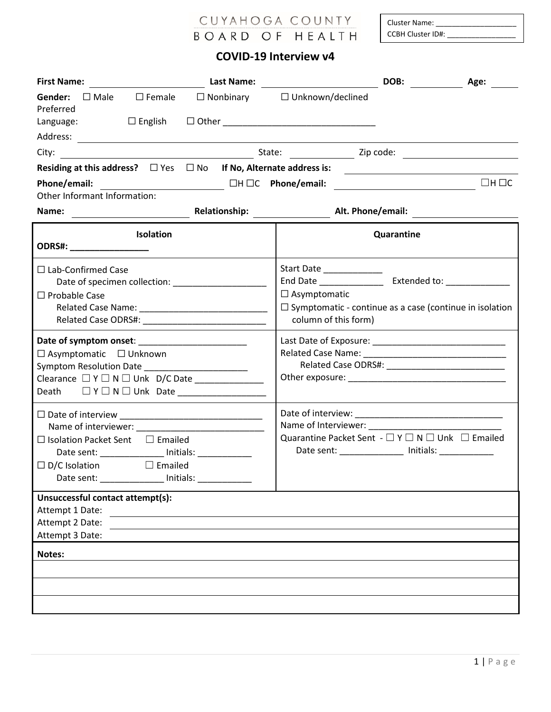## CUYAHOGA COUNTY BOARD OF HEALTH

Cluster Name: \_ CCBH Cluster ID#:

## **COVID-19 Interview v4**

| <b>First Name:</b>                                                                                                                                                          | Last Name: |                                                                                                                                            | DOB:       | Age:              |
|-----------------------------------------------------------------------------------------------------------------------------------------------------------------------------|------------|--------------------------------------------------------------------------------------------------------------------------------------------|------------|-------------------|
| Gender: □ Male<br>$\square$ Female<br>Preferred<br>Language:                                                                                                                |            | $\Box$ Nonbinary $\Box$ Unknown/declined                                                                                                   |            |                   |
|                                                                                                                                                                             |            |                                                                                                                                            |            |                   |
|                                                                                                                                                                             |            |                                                                                                                                            |            |                   |
| Residing at this address? $\square$ Yes $\square$ No If No, Alternate address is:                                                                                           |            |                                                                                                                                            |            |                   |
| Phone/email:                                                                                                                                                                |            |                                                                                                                                            |            | $\Box$ H $\Box$ C |
| Other Informant Information:                                                                                                                                                |            |                                                                                                                                            |            |                   |
| Name:<br><u> Alexandria (m. 1958)</u>                                                                                                                                       |            | Relationship: Alt. Phone/email:                                                                                                            |            |                   |
| <b>Isolation</b><br>ODRS#: _______________________                                                                                                                          |            |                                                                                                                                            | Quarantine |                   |
| $\Box$ Lab-Confirmed Case<br>$\Box$ Probable Case                                                                                                                           |            | Start Date ______________<br>$\Box$ Asymptomatic<br>$\Box$ Symptomatic - continue as a case (continue in isolation<br>column of this form) |            |                   |
| $\Box$ Asymptomatic $\Box$ Unknown<br>Clearance $\Box$ Y $\Box$ N $\Box$ Unk D/C Date<br>Death $\Box Y \Box N \Box$ Unk Date                                                |            |                                                                                                                                            |            |                   |
| $\Box$ Isolation Packet Sent $\Box$ Emailed<br>Date sent: ______________ Initials: ___________<br>$\Box$ D/C Isolation<br><b>Emailed</b> Emailed<br>Initials:<br>Date sent: |            | Quarantine Packet Sent - $\Box$ Y $\Box$ N $\Box$ Unk $\Box$ Emailed<br>Date sent: ______________ Initials: __________                     |            |                   |
| Unsuccessful contact attempt(s):<br>Attempt 1 Date:<br>Attempt 2 Date:<br>Attempt 3 Date:                                                                                   |            |                                                                                                                                            |            |                   |
| Notes:                                                                                                                                                                      |            |                                                                                                                                            |            |                   |
|                                                                                                                                                                             |            |                                                                                                                                            |            |                   |
|                                                                                                                                                                             |            |                                                                                                                                            |            |                   |
|                                                                                                                                                                             |            |                                                                                                                                            |            |                   |